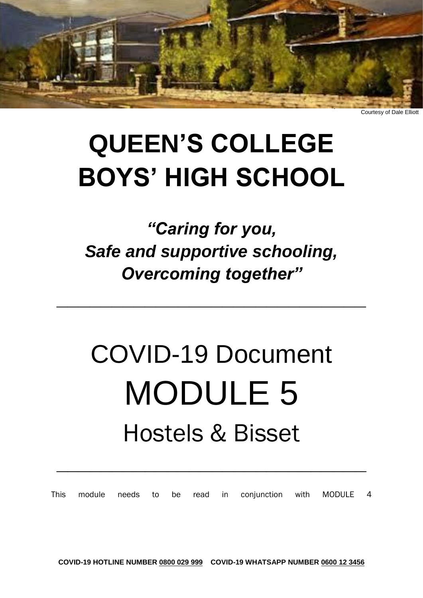

Courtesy of Dale Elliott

## **QUEEN'S COLLEGE BOYS' HIGH SCHOOL**

### *"Caring for you, Safe and supportive schooling, Overcoming together"*

**\_\_\_\_\_\_\_\_\_\_\_\_\_\_\_\_\_\_\_\_\_\_\_\_\_\_\_\_**

# COVID-19 Document MODULE 5 Hostels & Bisset

This module needs to be read in conjunction with MODULE 4

**\_\_\_\_\_\_\_\_\_\_\_\_\_\_\_\_\_\_\_\_\_\_\_\_\_\_\_\_**

**COVID-19 HOTLINE NUMBER 0800 029 999 COVID-19 WHATSAPP NUMBER 0600 12 3456**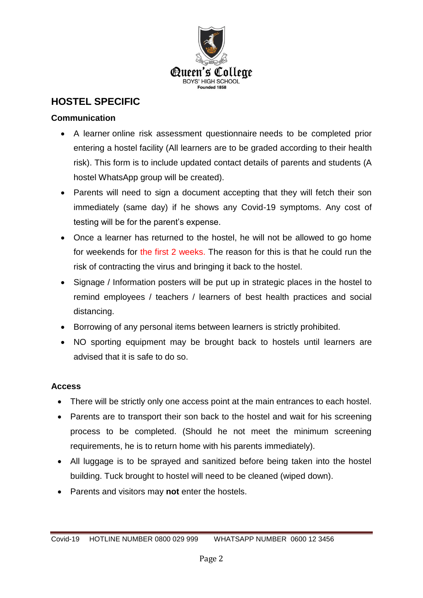

#### **HOSTEL SPECIFIC**

#### **Communication**

- A learner online risk assessment questionnaire needs to be completed prior entering a hostel facility (All learners are to be graded according to their health risk). This form is to include updated contact details of parents and students (A hostel WhatsApp group will be created).
- Parents will need to sign a document accepting that they will fetch their son immediately (same day) if he shows any Covid-19 symptoms. Any cost of testing will be for the parent's expense.
- Once a learner has returned to the hostel, he will not be allowed to go home for weekends for the first 2 weeks. The reason for this is that he could run the risk of contracting the virus and bringing it back to the hostel.
- Signage / Information posters will be put up in strategic places in the hostel to remind employees / teachers / learners of best health practices and social distancing.
- Borrowing of any personal items between learners is strictly prohibited.
- NO sporting equipment may be brought back to hostels until learners are advised that it is safe to do so.

#### **Access**

- There will be strictly only one access point at the main entrances to each hostel.
- Parents are to transport their son back to the hostel and wait for his screening process to be completed. (Should he not meet the minimum screening requirements, he is to return home with his parents immediately).
- All luggage is to be sprayed and sanitized before being taken into the hostel building. Tuck brought to hostel will need to be cleaned (wiped down).
- Parents and visitors may **not** enter the hostels.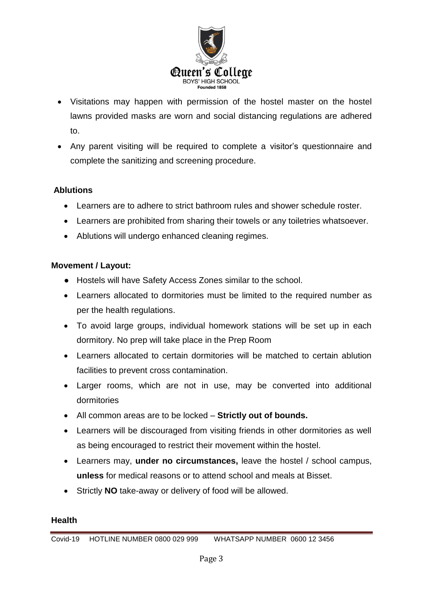

- Visitations may happen with permission of the hostel master on the hostel lawns provided masks are worn and social distancing regulations are adhered to.
- Any parent visiting will be required to complete a visitor's questionnaire and complete the sanitizing and screening procedure.

#### **Ablutions**

- Learners are to adhere to strict bathroom rules and shower schedule roster.
- Learners are prohibited from sharing their towels or any toiletries whatsoever.
- Ablutions will undergo enhanced cleaning regimes.

#### **Movement / Layout:**

- Hostels will have Safety Access Zones similar to the school.
- Learners allocated to dormitories must be limited to the required number as per the health regulations.
- To avoid large groups, individual homework stations will be set up in each dormitory. No prep will take place in the Prep Room
- Learners allocated to certain dormitories will be matched to certain ablution facilities to prevent cross contamination.
- Larger rooms, which are not in use, may be converted into additional dormitories
- All common areas are to be locked **Strictly out of bounds.**
- Learners will be discouraged from visiting friends in other dormitories as well as being encouraged to restrict their movement within the hostel.
- Learners may, **under no circumstances,** leave the hostel / school campus, **unless** for medical reasons or to attend school and meals at Bisset.
- Strictly **NO** take-away or delivery of food will be allowed.

#### **Health**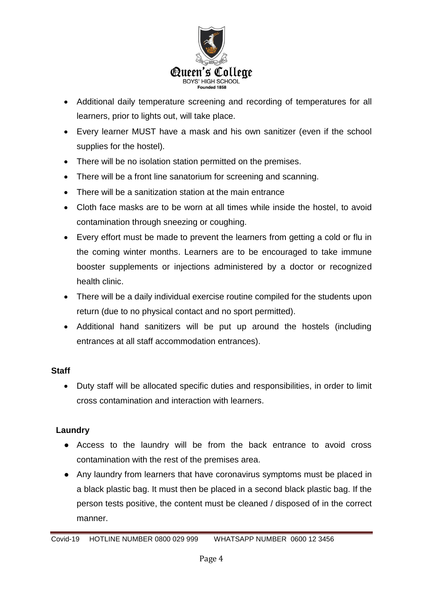

- Additional daily temperature screening and recording of temperatures for all learners, prior to lights out, will take place.
- Every learner MUST have a mask and his own sanitizer (even if the school supplies for the hostel).
- There will be no isolation station permitted on the premises.
- There will be a front line sanatorium for screening and scanning.
- There will be a sanitization station at the main entrance
- Cloth face masks are to be worn at all times while inside the hostel, to avoid contamination through sneezing or coughing.
- Every effort must be made to prevent the learners from getting a cold or flu in the coming winter months. Learners are to be encouraged to take immune booster supplements or injections administered by a doctor or recognized health clinic.
- There will be a daily individual exercise routine compiled for the students upon return (due to no physical contact and no sport permitted).
- Additional hand sanitizers will be put up around the hostels (including entrances at all staff accommodation entrances).

#### **Staff**

 Duty staff will be allocated specific duties and responsibilities, in order to limit cross contamination and interaction with learners.

#### **Laundry**

- Access to the laundry will be from the back entrance to avoid cross contamination with the rest of the premises area.
- Any laundry from learners that have coronavirus symptoms must be placed in a black plastic bag. It must then be placed in a second black plastic bag. If the person tests positive, the content must be cleaned / disposed of in the correct manner.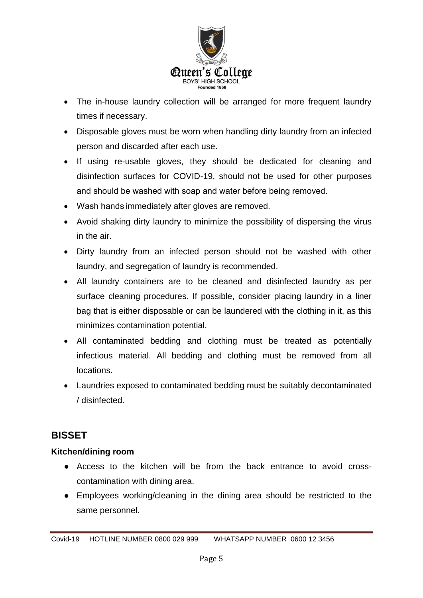

- The in-house laundry collection will be arranged for more frequent laundry times if necessary.
- Disposable gloves must be worn when handling dirty laundry from an infected person and discarded after each use.
- If using re-usable gloves, they should be dedicated for cleaning and disinfection surfaces for COVID-19, should not be used for other purposes and should be washed with soap and water before being removed.
- Wash hands immediately after gloves are removed.
- Avoid shaking dirty laundry to minimize the possibility of dispersing the virus in the air.
- Dirty laundry from an infected person should not be washed with other laundry, and segregation of laundry is recommended.
- All laundry containers are to be cleaned and disinfected laundry as per surface cleaning procedures. If possible, consider placing laundry in a liner bag that is either disposable or can be laundered with the clothing in it, as this minimizes contamination potential.
- All contaminated bedding and clothing must be treated as potentially infectious material. All bedding and clothing must be removed from all locations.
- Laundries exposed to contaminated bedding must be suitably decontaminated / disinfected.

#### **BISSET**

#### **Kitchen/dining room**

- Access to the kitchen will be from the back entrance to avoid crosscontamination with dining area.
- Employees working/cleaning in the dining area should be restricted to the same personnel.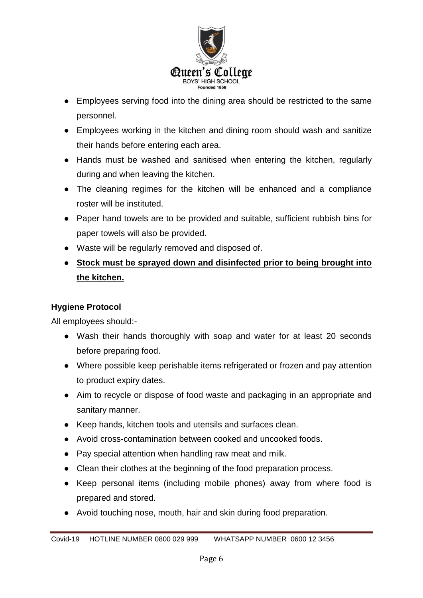

- Employees serving food into the dining area should be restricted to the same personnel.
- Employees working in the kitchen and dining room should wash and sanitize their hands before entering each area.
- Hands must be washed and sanitised when entering the kitchen, regularly during and when leaving the kitchen.
- The cleaning regimes for the kitchen will be enhanced and a compliance roster will be instituted.
- Paper hand towels are to be provided and suitable, sufficient rubbish bins for paper towels will also be provided.
- Waste will be regularly removed and disposed of.
- **Stock must be sprayed down and disinfected prior to being brought into the kitchen.**

#### **Hygiene Protocol**

All employees should:-

- Wash their hands thoroughly with soap and water for at least 20 seconds before preparing food.
- Where possible keep perishable items refrigerated or frozen and pay attention to product expiry dates.
- Aim to recycle or dispose of food waste and packaging in an appropriate and sanitary manner.
- Keep hands, kitchen tools and utensils and surfaces clean.
- Avoid cross-contamination between cooked and uncooked foods.
- Pay special attention when handling raw meat and milk.
- Clean their clothes at the beginning of the food preparation process.
- Keep personal items (including mobile phones) away from where food is prepared and stored.
- Avoid touching nose, mouth, hair and skin during food preparation.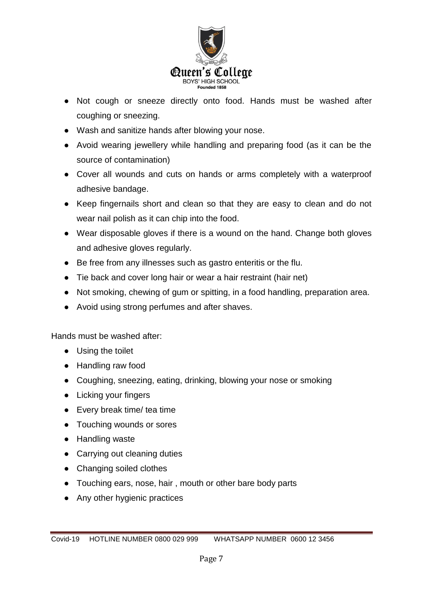

- Not cough or sneeze directly onto food. Hands must be washed after coughing or sneezing.
- Wash and sanitize hands after blowing your nose.
- Avoid wearing jewellery while handling and preparing food (as it can be the source of contamination)
- Cover all wounds and cuts on hands or arms completely with a waterproof adhesive bandage.
- Keep fingernails short and clean so that they are easy to clean and do not wear nail polish as it can chip into the food.
- Wear disposable gloves if there is a wound on the hand. Change both gloves and adhesive gloves regularly.
- Be free from any illnesses such as gastro enteritis or the flu.
- Tie back and cover long hair or wear a hair restraint (hair net)
- Not smoking, chewing of gum or spitting, in a food handling, preparation area.
- Avoid using strong perfumes and after shaves.

Hands must be washed after:

- Using the toilet
- Handling raw food
- Coughing, sneezing, eating, drinking, blowing your nose or smoking
- Licking your fingers
- Every break time/ tea time
- Touching wounds or sores
- Handling waste
- Carrying out cleaning duties
- Changing soiled clothes
- Touching ears, nose, hair, mouth or other bare body parts
- Any other hygienic practices